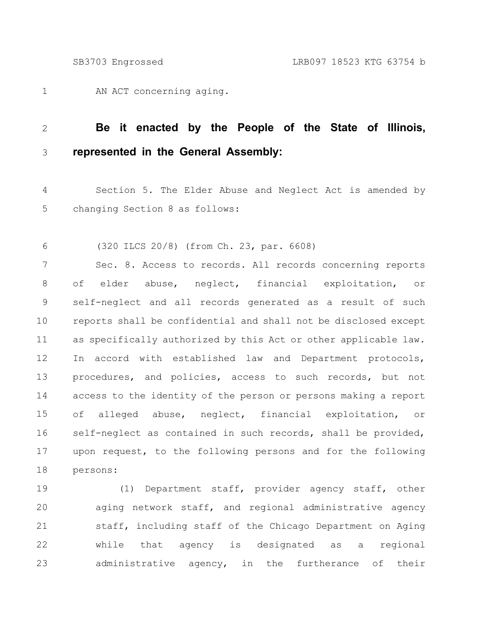AN ACT concerning aging. 1

## **Be it enacted by the People of the State of Illinois, represented in the General Assembly:** 2 3

Section 5. The Elder Abuse and Neglect Act is amended by changing Section 8 as follows: 4 5

(320 ILCS 20/8) (from Ch. 23, par. 6608) 6

Sec. 8. Access to records. All records concerning reports of elder abuse, neglect, financial exploitation, or self-neglect and all records generated as a result of such reports shall be confidential and shall not be disclosed except as specifically authorized by this Act or other applicable law. In accord with established law and Department protocols, procedures, and policies, access to such records, but not access to the identity of the person or persons making a report of alleged abuse, neglect, financial exploitation, or self-neglect as contained in such records, shall be provided, upon request, to the following persons and for the following persons: 7 8 9 10 11 12 13 14 15 16 17 18

(1) Department staff, provider agency staff, other aging network staff, and regional administrative agency staff, including staff of the Chicago Department on Aging while that agency is designated as a regional administrative agency, in the furtherance of their 19 20 21 22 23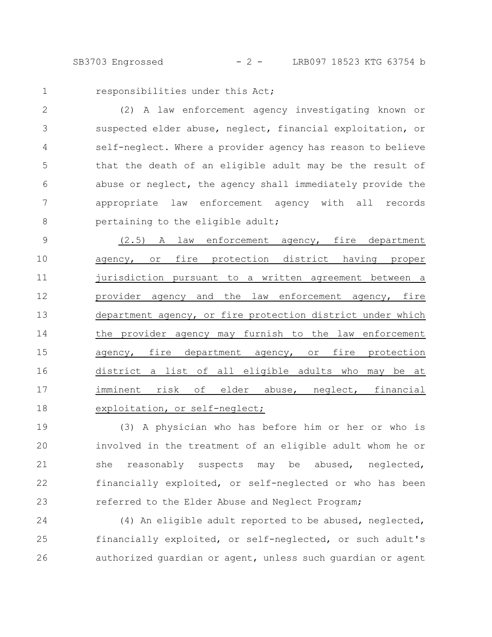SB3703 Engrossed - 2 - LRB097 18523 KTG 63754 b

1

responsibilities under this Act;

(2) A law enforcement agency investigating known or suspected elder abuse, neglect, financial exploitation, or self-neglect. Where a provider agency has reason to believe that the death of an eligible adult may be the result of abuse or neglect, the agency shall immediately provide the appropriate law enforcement agency with all records pertaining to the eligible adult; 2 3 4 5 6 7 8

(2.5) A law enforcement agency, fire department agency, or fire protection district having proper jurisdiction pursuant to a written agreement between a provider agency and the law enforcement agency, fire department agency, or fire protection district under which the provider agency may furnish to the law enforcement agency, fire department agency, or fire protection district a list of all eligible adults who may be at imminent risk of elder abuse, neglect, financial exploitation, or self-neglect; 9 10 11 12 13 14 15 16 17 18

(3) A physician who has before him or her or who is involved in the treatment of an eligible adult whom he or she reasonably suspects may be abused, neglected, financially exploited, or self-neglected or who has been referred to the Elder Abuse and Neglect Program; 19 20 21 22 23

(4) An eligible adult reported to be abused, neglected, financially exploited, or self-neglected, or such adult's authorized guardian or agent, unless such guardian or agent 24 25 26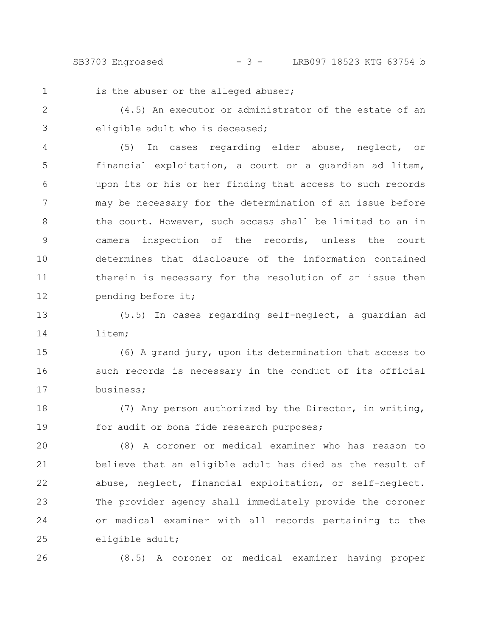SB3703 Engrossed - 3 - LRB097 18523 KTG 63754 b

is the abuser or the alleged abuser;

(4.5) An executor or administrator of the estate of an eligible adult who is deceased; 2 3

(5) In cases regarding elder abuse, neglect, or financial exploitation, a court or a guardian ad litem, upon its or his or her finding that access to such records may be necessary for the determination of an issue before the court. However, such access shall be limited to an in camera inspection of the records, unless the court determines that disclosure of the information contained therein is necessary for the resolution of an issue then pending before it; 4 5 6 7 8 9 10 11 12

(5.5) In cases regarding self-neglect, a guardian ad litem; 13 14

(6) A grand jury, upon its determination that access to such records is necessary in the conduct of its official business; 15 16 17

(7) Any person authorized by the Director, in writing, for audit or bona fide research purposes; 18 19

(8) A coroner or medical examiner who has reason to believe that an eligible adult has died as the result of abuse, neglect, financial exploitation, or self-neglect. The provider agency shall immediately provide the coroner or medical examiner with all records pertaining to the eligible adult; 20 21 22 23 24 25

26

1

(8.5) A coroner or medical examiner having proper